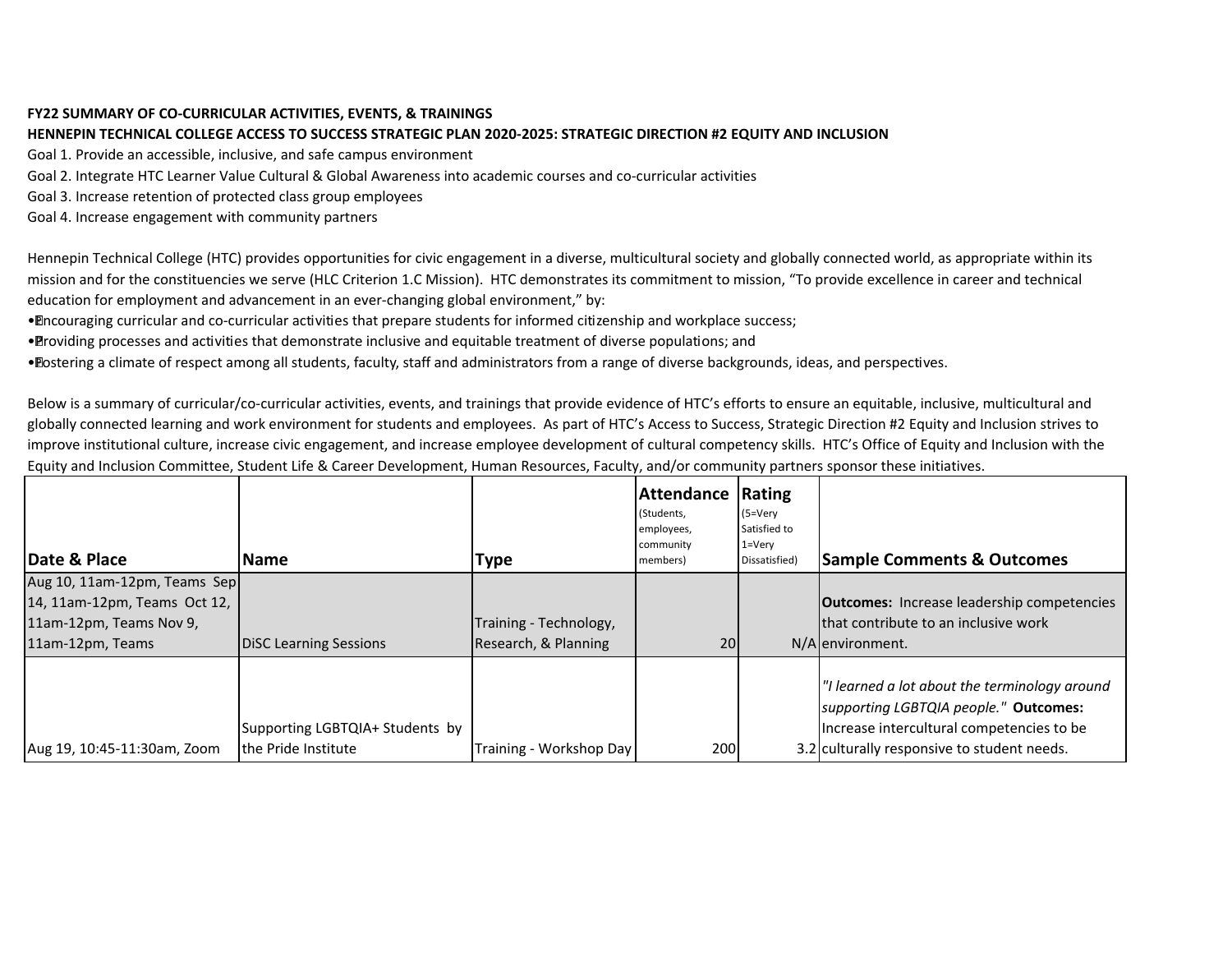## **FY22 SUMMARY OF CO-CURRICULAR ACTIVITIES, EVENTS, & TRAININGS**

## **HENNEPIN TECHNICAL COLLEGE ACCESS TO SUCCESS STRATEGIC PLAN 2020-2025: STRATEGIC DIRECTION #2 EQUITY AND INCLUSION**

Goal 1. Provide an accessible, inclusive, and safe campus environment

Goal 2. Integrate HTC Learner Value Cultural & Global Awareness into academic courses and co-curricular activities

Goal 3. Increase retention of protected class group employees

Goal 4. Increase engagement with community partners

Hennepin Technical College (HTC) provides opportunities for civic engagement in a diverse, multicultural society and globally connected world, as appropriate within its mission and for the constituencies we serve (HLC Criterion 1.C Mission). HTC demonstrates its commitment to mission, "To provide excellence in career and technical education for employment and advancement in an ever-changing global environment," by:

• Encouraging curricular and co-curricular activities that prepare students for informed citizenship and workplace success;

• Providing processes and activities that demonstrate inclusive and equitable treatment of diverse populations; and

• Fostering a climate of respect among all students, faculty, staff and administrators from a range of diverse backgrounds, ideas, and perspectives.

Below is a summary of curricular/co-curricular activities, events, and trainings that provide evidence of HTC's efforts to ensure an equitable, inclusive, multicultural and globally connected learning and work environment for students and employees. As part of HTC's Access to Success, Strategic Direction #2 Equity and Inclusion strives to improve institutional culture, increase civic engagement, and increase employee development of cultural competency skills. HTC's Office of Equity and Inclusion with the Equity and Inclusion Committee, Student Life & Career Development, Human Resources, Faculty, and/or community partners sponsor these initiatives.

| Date & Place                 | <b>Name</b>                     |                         | <b>Attendance</b><br>(Students,<br>employees,<br>community<br>members) | Rating<br>$(5=V)$<br>Satisfied to<br>$1 = V$ ery<br>Dissatisfied) | <b>Sample Comments &amp; Outcomes</b>                                                  |
|------------------------------|---------------------------------|-------------------------|------------------------------------------------------------------------|-------------------------------------------------------------------|----------------------------------------------------------------------------------------|
|                              |                                 | <b>Type</b>             |                                                                        |                                                                   |                                                                                        |
| Aug 10, 11am-12pm, Teams Sep |                                 |                         |                                                                        |                                                                   |                                                                                        |
| 14, 11am-12pm, Teams Oct 12, |                                 |                         |                                                                        |                                                                   | <b>Outcomes:</b> Increase leadership competencies                                      |
| 11am-12pm, Teams Nov 9,      |                                 | Training - Technology,  |                                                                        |                                                                   | that contribute to an inclusive work                                                   |
| 11am-12pm, Teams             | <b>DiSC Learning Sessions</b>   | Research, & Planning    | 20                                                                     |                                                                   | N/Alenvironment.                                                                       |
|                              |                                 |                         |                                                                        |                                                                   | "I learned a lot about the terminology around<br>supporting LGBTQIA people." Outcomes: |
|                              | Supporting LGBTQIA+ Students by |                         |                                                                        |                                                                   | Increase intercultural competencies to be                                              |
| Aug 19, 10:45-11:30am, Zoom  | the Pride Institute             | Training - Workshop Day | 200                                                                    |                                                                   | 3.2 culturally responsive to student needs.                                            |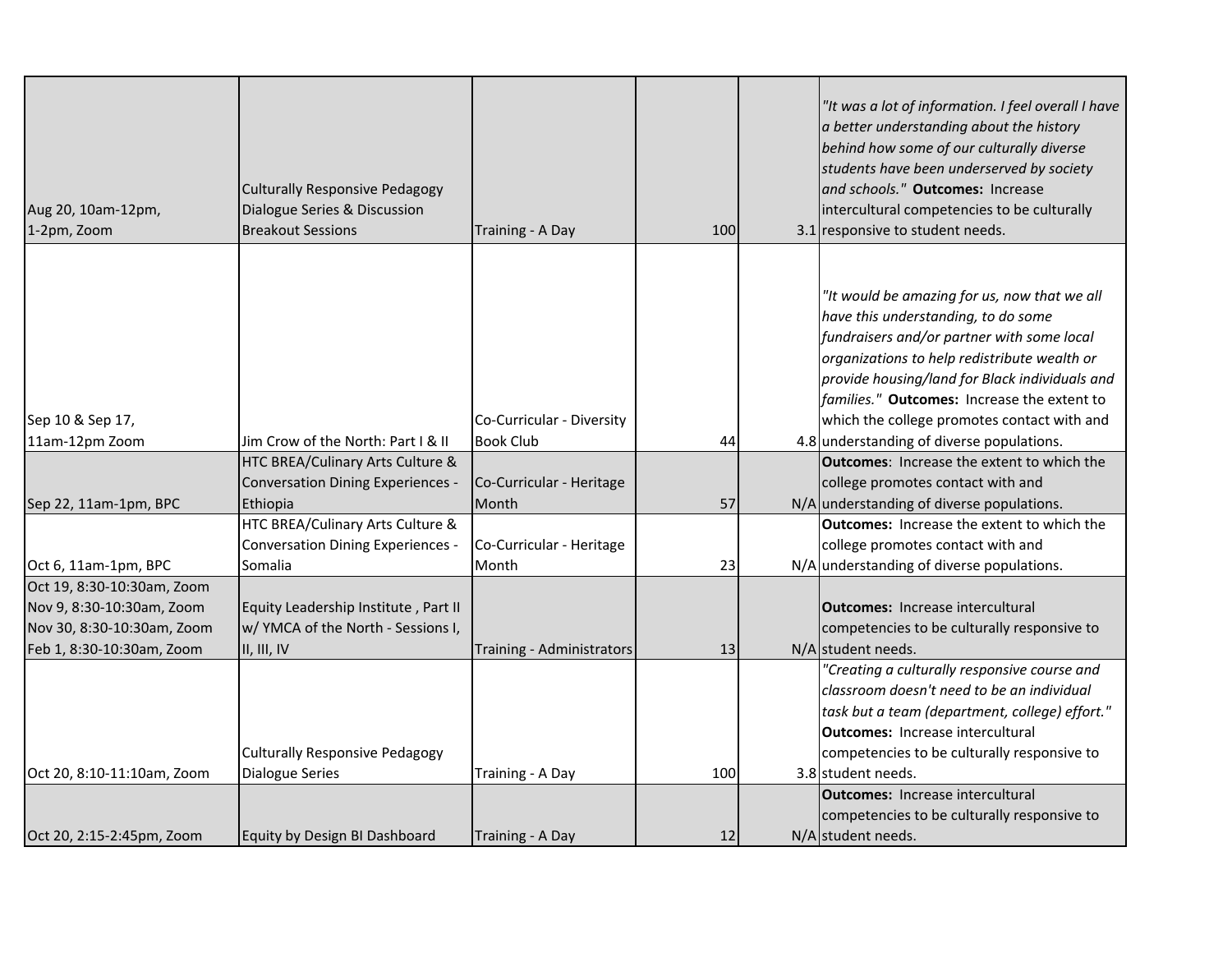| Aug 20, 10am-12pm,<br>1-2pm, Zoom  | Culturally Responsive Pedagogy<br>Dialogue Series & Discussion<br><b>Breakout Sessions</b> | Training - A Day                              | 100 | "It was a lot of information. I feel overall I have<br>a better understanding about the history<br>behind how some of our culturally diverse<br>students have been underserved by society<br>and schools." Outcomes: Increase<br>intercultural competencies to be culturally<br>3.1 responsive to student needs.                                                               |
|------------------------------------|--------------------------------------------------------------------------------------------|-----------------------------------------------|-----|--------------------------------------------------------------------------------------------------------------------------------------------------------------------------------------------------------------------------------------------------------------------------------------------------------------------------------------------------------------------------------|
|                                    |                                                                                            |                                               |     |                                                                                                                                                                                                                                                                                                                                                                                |
| Sep 10 & Sep 17,<br>11am-12pm Zoom | Jim Crow of the North: Part I & II                                                         | Co-Curricular - Diversity<br><b>Book Club</b> | 44  | "It would be amazing for us, now that we all<br>have this understanding, to do some<br>fundraisers and/or partner with some local<br>organizations to help redistribute wealth or<br>provide housing/land for Black individuals and<br>families." Outcomes: Increase the extent to<br>which the college promotes contact with and<br>4.8 understanding of diverse populations. |
|                                    | HTC BREA/Culinary Arts Culture &                                                           |                                               |     | <b>Outcomes:</b> Increase the extent to which the                                                                                                                                                                                                                                                                                                                              |
|                                    | Conversation Dining Experiences -                                                          | Co-Curricular - Heritage                      |     | college promotes contact with and                                                                                                                                                                                                                                                                                                                                              |
| Sep 22, 11am-1pm, BPC              | Ethiopia                                                                                   | Month                                         | 57  | N/A understanding of diverse populations.                                                                                                                                                                                                                                                                                                                                      |
|                                    | HTC BREA/Culinary Arts Culture &                                                           |                                               |     | <b>Outcomes:</b> Increase the extent to which the                                                                                                                                                                                                                                                                                                                              |
|                                    | <b>Conversation Dining Experiences -</b>                                                   | Co-Curricular - Heritage                      |     | college promotes contact with and                                                                                                                                                                                                                                                                                                                                              |
| Oct 6, 11am-1pm, BPC               | Somalia                                                                                    | Month                                         | 23  | N/A understanding of diverse populations.                                                                                                                                                                                                                                                                                                                                      |
| Oct 19, 8:30-10:30am, Zoom         |                                                                                            |                                               |     |                                                                                                                                                                                                                                                                                                                                                                                |
| Nov 9, 8:30-10:30am, Zoom          | Equity Leadership Institute, Part II                                                       |                                               |     | <b>Outcomes:</b> Increase intercultural                                                                                                                                                                                                                                                                                                                                        |
| Nov 30, 8:30-10:30am, Zoom         | w/ YMCA of the North - Sessions I,                                                         |                                               |     | competencies to be culturally responsive to                                                                                                                                                                                                                                                                                                                                    |
| Feb 1, 8:30-10:30am, Zoom          | II, III, IV                                                                                | Training - Administrators                     | 13  | N/A student needs.                                                                                                                                                                                                                                                                                                                                                             |
| Oct 20, 8:10-11:10am, Zoom         | <b>Culturally Responsive Pedagogy</b><br><b>Dialogue Series</b>                            | Training - A Day                              | 100 | "Creating a culturally responsive course and<br>classroom doesn't need to be an individual<br>task but a team (department, college) effort."<br><b>Outcomes: Increase intercultural</b><br>competencies to be culturally responsive to<br>3.8 student needs.                                                                                                                   |
|                                    |                                                                                            |                                               |     | <b>Outcomes:</b> Increase intercultural                                                                                                                                                                                                                                                                                                                                        |
| Oct 20, 2:15-2:45pm, Zoom          | Equity by Design BI Dashboard                                                              | Training - A Day                              | 12  | competencies to be culturally responsive to<br>N/A student needs.                                                                                                                                                                                                                                                                                                              |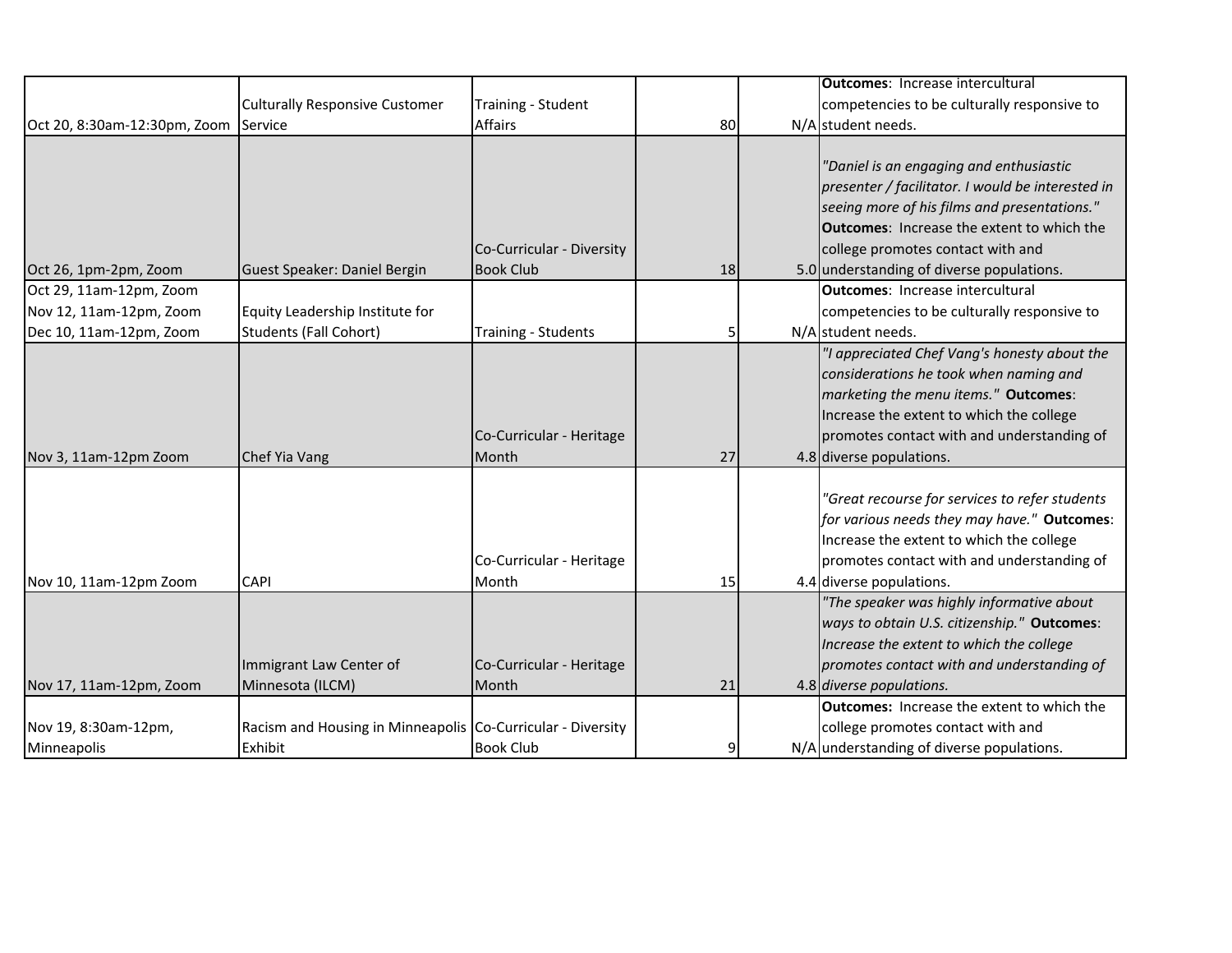|                              |                                                             |                           |    | <b>Outcomes: Increase intercultural</b>           |
|------------------------------|-------------------------------------------------------------|---------------------------|----|---------------------------------------------------|
|                              | <b>Culturally Responsive Customer</b>                       | Training - Student        |    | competencies to be culturally responsive to       |
| Oct 20, 8:30am-12:30pm, Zoom | Service                                                     | <b>Affairs</b>            | 80 | N/A student needs.                                |
|                              |                                                             |                           |    |                                                   |
|                              |                                                             |                           |    | "Daniel is an engaging and enthusiastic           |
|                              |                                                             |                           |    | presenter / facilitator. I would be interested in |
|                              |                                                             |                           |    | seeing more of his films and presentations."      |
|                              |                                                             |                           |    | <b>Outcomes:</b> Increase the extent to which the |
|                              |                                                             | Co-Curricular - Diversity |    | college promotes contact with and                 |
| Oct 26, 1pm-2pm, Zoom        | Guest Speaker: Daniel Bergin                                | <b>Book Club</b>          | 18 | 5.0 understanding of diverse populations.         |
| Oct 29, 11am-12pm, Zoom      |                                                             |                           |    | <b>Outcomes: Increase intercultural</b>           |
| Nov 12, 11am-12pm, Zoom      | Equity Leadership Institute for                             |                           |    | competencies to be culturally responsive to       |
| Dec 10, 11am-12pm, Zoom      | <b>Students (Fall Cohort)</b>                               | Training - Students       | 5  | N/A student needs.                                |
|                              |                                                             |                           |    | "I appreciated Chef Vang's honesty about the      |
|                              |                                                             |                           |    | considerations he took when naming and            |
|                              |                                                             |                           |    | marketing the menu items." Outcomes:              |
|                              |                                                             |                           |    | Increase the extent to which the college          |
|                              |                                                             | Co-Curricular - Heritage  |    | promotes contact with and understanding of        |
| Nov 3, 11am-12pm Zoom        | Chef Yia Vang                                               | Month                     | 27 | 4.8 diverse populations.                          |
|                              |                                                             |                           |    |                                                   |
|                              |                                                             |                           |    | "Great recourse for services to refer students    |
|                              |                                                             |                           |    | for various needs they may have." Outcomes:       |
|                              |                                                             |                           |    | Increase the extent to which the college          |
|                              |                                                             | Co-Curricular - Heritage  |    | promotes contact with and understanding of        |
| Nov 10, 11am-12pm Zoom       | <b>CAPI</b>                                                 | Month                     | 15 | 4.4 diverse populations.                          |
|                              |                                                             |                           |    | "The speaker was highly informative about         |
|                              |                                                             |                           |    | ways to obtain U.S. citizenship." Outcomes:       |
|                              |                                                             |                           |    | Increase the extent to which the college          |
|                              | Immigrant Law Center of                                     | Co-Curricular - Heritage  |    | promotes contact with and understanding of        |
| Nov 17, 11am-12pm, Zoom      | Minnesota (ILCM)                                            | Month                     | 21 | 4.8 diverse populations.                          |
|                              |                                                             |                           |    | <b>Outcomes:</b> Increase the extent to which the |
| Nov 19, 8:30am-12pm,         | Racism and Housing in Minneapolis Co-Curricular - Diversity |                           |    | college promotes contact with and                 |
| Minneapolis                  | Exhibit                                                     | <b>Book Club</b>          | 9  | N/A understanding of diverse populations.         |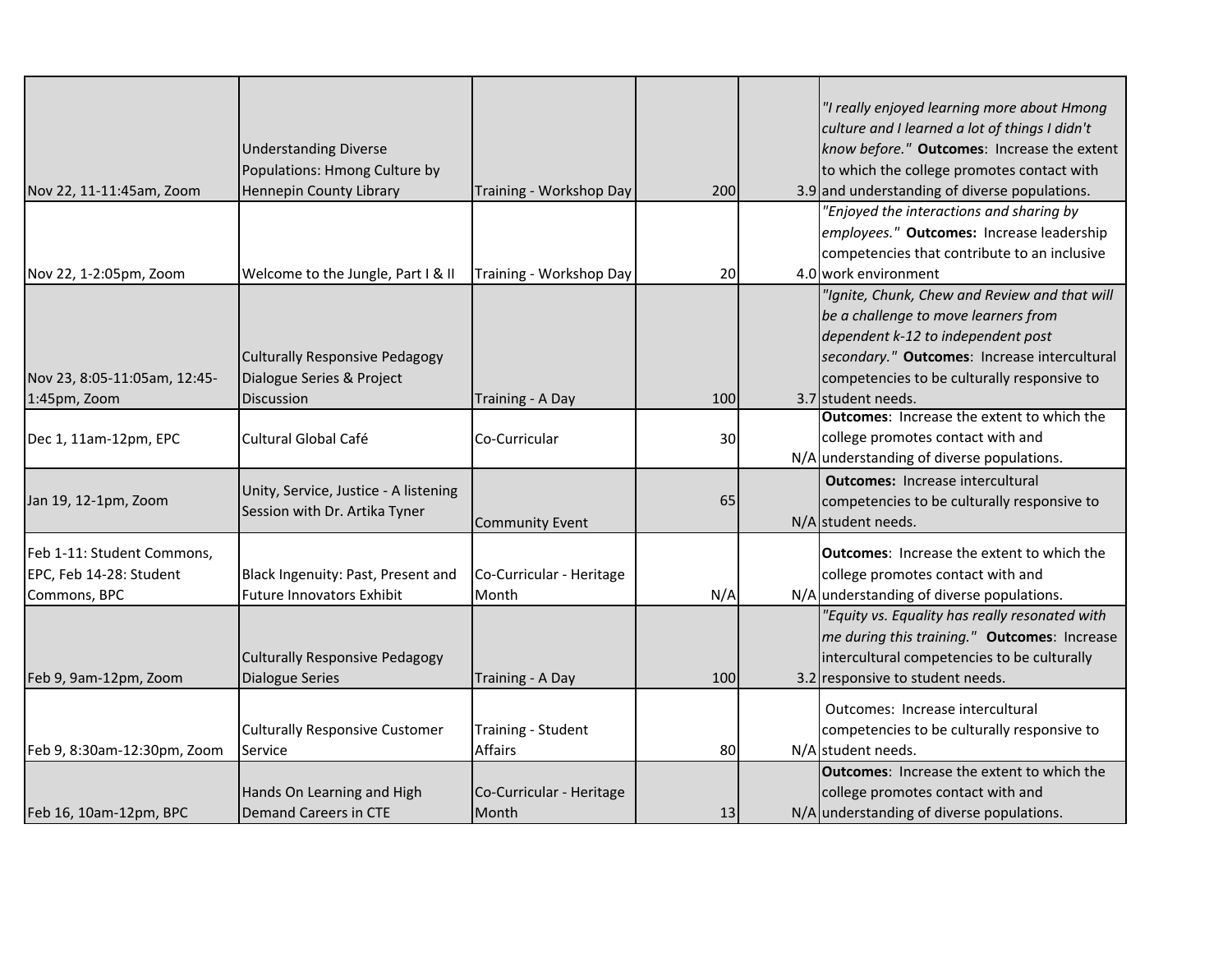|                              |                                       |                          |     | "I really enjoyed learning more about Hmong       |
|------------------------------|---------------------------------------|--------------------------|-----|---------------------------------------------------|
|                              |                                       |                          |     | culture and I learned a lot of things I didn't    |
|                              | <b>Understanding Diverse</b>          |                          |     | know before." Outcomes: Increase the extent       |
|                              | Populations: Hmong Culture by         |                          |     | to which the college promotes contact with        |
| Nov 22, 11-11:45am, Zoom     | Hennepin County Library               | Training - Workshop Day  | 200 | 3.9 and understanding of diverse populations.     |
|                              |                                       |                          |     | "Enjoyed the interactions and sharing by          |
|                              |                                       |                          |     | employees." Outcomes: Increase leadership         |
|                              |                                       |                          |     | competencies that contribute to an inclusive      |
| Nov 22, 1-2:05pm, Zoom       | Welcome to the Jungle, Part I & II    | Training - Workshop Day  | 20  | 4.0 work environment                              |
|                              |                                       |                          |     | "Ignite, Chunk, Chew and Review and that will     |
|                              |                                       |                          |     | be a challenge to move learners from              |
|                              |                                       |                          |     | dependent k-12 to independent post                |
|                              | <b>Culturally Responsive Pedagogy</b> |                          |     | secondary." Outcomes: Increase intercultural      |
| Nov 23, 8:05-11:05am, 12:45- | Dialogue Series & Project             |                          |     | competencies to be culturally responsive to       |
| 1:45pm, Zoom                 | Discussion                            | Training - A Day         | 100 | 3.7 student needs.                                |
|                              |                                       |                          |     | <b>Outcomes: Increase the extent to which the</b> |
| Dec 1, 11am-12pm, EPC        | Cultural Global Café                  | Co-Curricular            | 30  | college promotes contact with and                 |
|                              |                                       |                          |     | N/A understanding of diverse populations.         |
|                              | Unity, Service, Justice - A listening |                          |     | <b>Outcomes:</b> Increase intercultural           |
| Jan 19, 12-1pm, Zoom         | Session with Dr. Artika Tyner         |                          | 65  | competencies to be culturally responsive to       |
|                              |                                       | <b>Community Event</b>   |     | N/A student needs.                                |
| Feb 1-11: Student Commons,   |                                       |                          |     | <b>Outcomes: Increase the extent to which the</b> |
| EPC, Feb 14-28: Student      | Black Ingenuity: Past, Present and    | Co-Curricular - Heritage |     | college promotes contact with and                 |
| Commons, BPC                 | <b>Future Innovators Exhibit</b>      | Month                    | N/A | N/A understanding of diverse populations.         |
|                              |                                       |                          |     | "Equity vs. Equality has really resonated with    |
|                              |                                       |                          |     | me during this training." Outcomes: Increase      |
|                              | <b>Culturally Responsive Pedagogy</b> |                          |     | intercultural competencies to be culturally       |
| Feb 9, 9am-12pm, Zoom        | <b>Dialogue Series</b>                | Training - A Day         | 100 | 3.2 responsive to student needs.                  |
|                              |                                       |                          |     | Outcomes: Increase intercultural                  |
|                              | <b>Culturally Responsive Customer</b> | Training - Student       |     | competencies to be culturally responsive to       |
| Feb 9, 8:30am-12:30pm, Zoom  | Service                               | <b>Affairs</b>           | 80  | N/A student needs.                                |
|                              |                                       |                          |     | <b>Outcomes: Increase the extent to which the</b> |
|                              | Hands On Learning and High            | Co-Curricular - Heritage |     | college promotes contact with and                 |
| Feb 16, 10am-12pm, BPC       | <b>Demand Careers in CTE</b>          | Month                    | 13  | N/A understanding of diverse populations.         |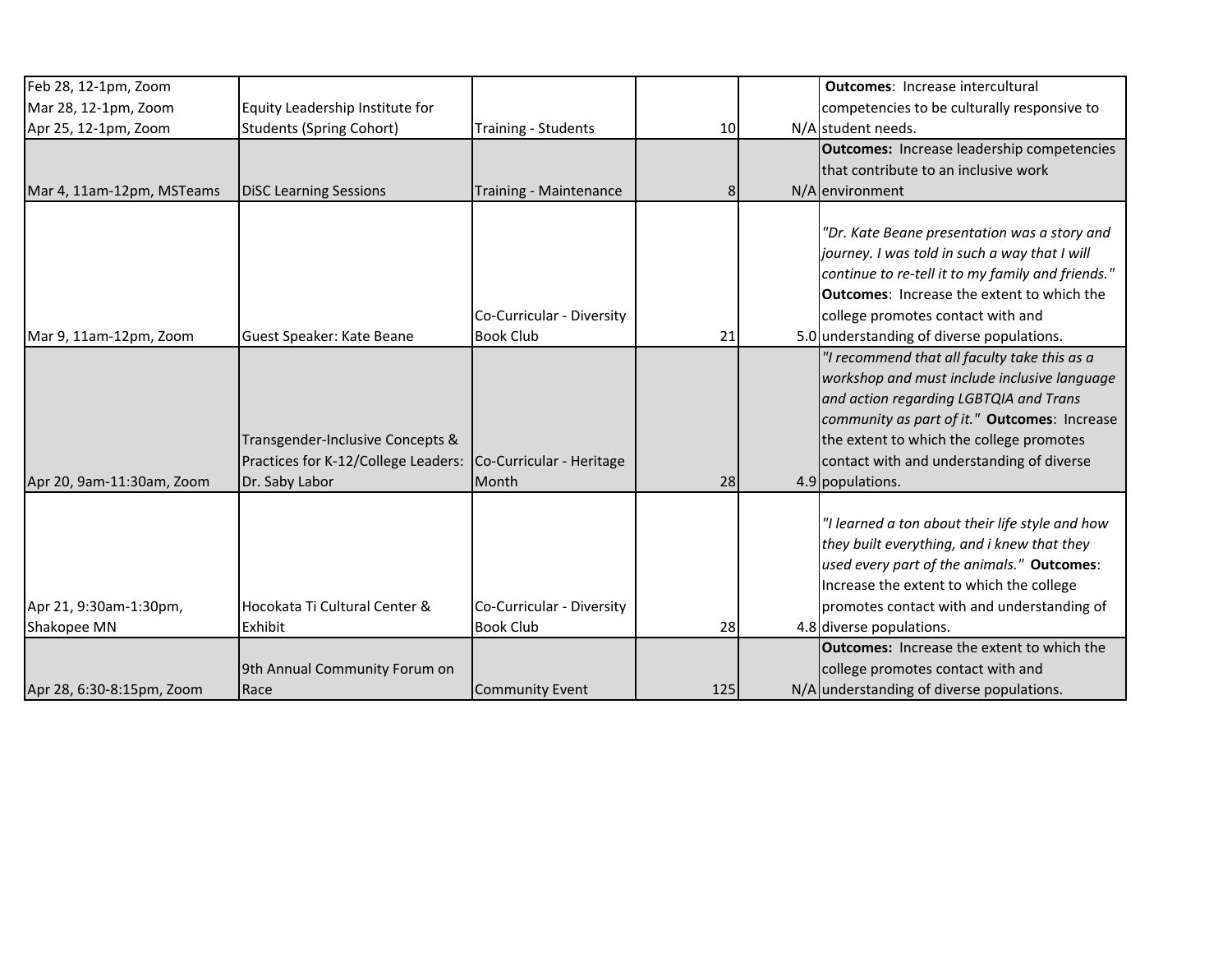| Feb 28, 12-1pm, Zoom      |                                     |                            |     | <b>Outcomes: Increase intercultural</b>           |
|---------------------------|-------------------------------------|----------------------------|-----|---------------------------------------------------|
| Mar 28, 12-1pm, Zoom      | Equity Leadership Institute for     |                            |     | competencies to be culturally responsive to       |
| Apr 25, 12-1pm, Zoom      | <b>Students (Spring Cohort)</b>     | <b>Training - Students</b> | 10  | N/A student needs.                                |
|                           |                                     |                            |     | <b>Outcomes:</b> Increase leadership competencies |
|                           |                                     |                            |     | that contribute to an inclusive work              |
| Mar 4, 11am-12pm, MSTeams | <b>DiSC Learning Sessions</b>       | Training - Maintenance     | 8   | N/A environment                                   |
|                           |                                     |                            |     |                                                   |
|                           |                                     |                            |     | "Dr. Kate Beane presentation was a story and      |
|                           |                                     |                            |     | journey. I was told in such a way that I will     |
|                           |                                     |                            |     | continue to re-tell it to my family and friends." |
|                           |                                     |                            |     | <b>Outcomes: Increase the extent to which the</b> |
|                           |                                     | Co-Curricular - Diversity  |     | college promotes contact with and                 |
| Mar 9, 11am-12pm, Zoom    | Guest Speaker: Kate Beane           | <b>Book Club</b>           | 21  | 5.0 understanding of diverse populations.         |
|                           |                                     |                            |     | "I recommend that all faculty take this as a      |
|                           |                                     |                            |     | workshop and must include inclusive language      |
|                           |                                     |                            |     | and action regarding LGBTQIA and Trans            |
|                           |                                     |                            |     | community as part of it." Outcomes: Increase      |
|                           | Transgender-Inclusive Concepts &    |                            |     | the extent to which the college promotes          |
|                           | Practices for K-12/College Leaders: | Co-Curricular - Heritage   |     | contact with and understanding of diverse         |
| Apr 20, 9am-11:30am, Zoom | Dr. Saby Labor                      | Month                      | 28  | 4.9 populations.                                  |
|                           |                                     |                            |     |                                                   |
|                           |                                     |                            |     | "I learned a ton about their life style and how   |
|                           |                                     |                            |     | they built everything, and i knew that they       |
|                           |                                     |                            |     | used every part of the animals." Outcomes:        |
|                           |                                     |                            |     | Increase the extent to which the college          |
| Apr 21, 9:30am-1:30pm,    | Hocokata Ti Cultural Center &       | Co-Curricular - Diversity  |     | promotes contact with and understanding of        |
| Shakopee MN               | Exhibit                             | <b>Book Club</b>           | 28  | 4.8 diverse populations.                          |
|                           |                                     |                            |     | <b>Outcomes:</b> Increase the extent to which the |
|                           | 9th Annual Community Forum on       |                            |     | college promotes contact with and                 |
| Apr 28, 6:30-8:15pm, Zoom | Race                                | Community Event            | 125 | N/A understanding of diverse populations.         |